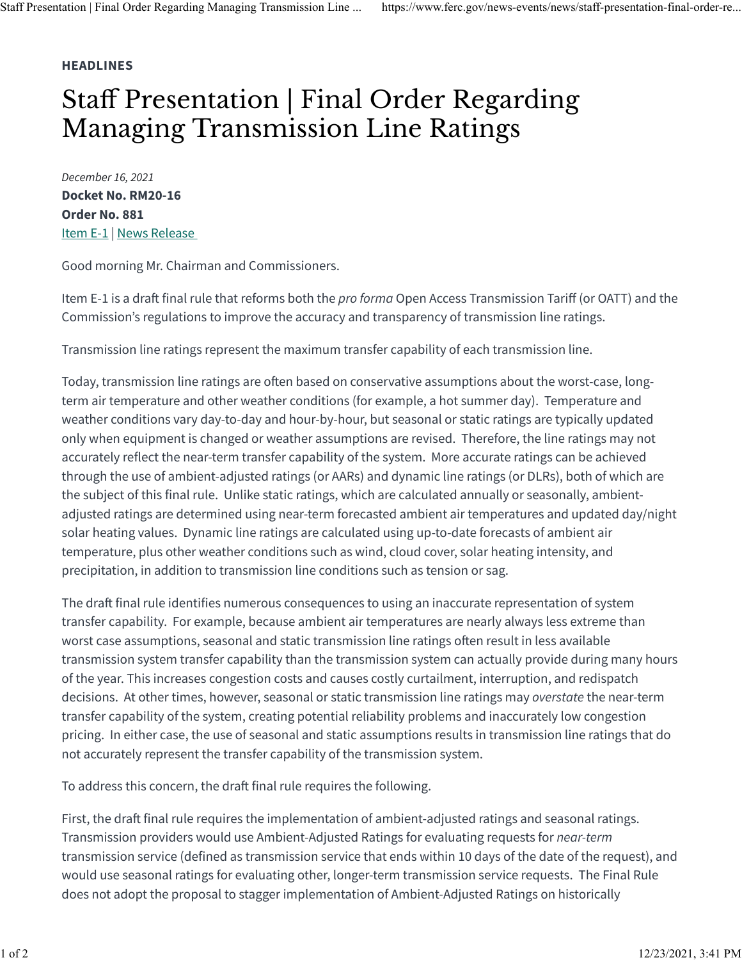## **HEADLINES**

## Staff Presentation | Final Order Regarding Managing Transmission Line Ratings

*December 16, 2021* **Docket No. RM20-16 Order No. 881** [Item E-1](https://www.ferc.gov/media/e-1-rm20-16-000) | [News Release](https://www.ferc.gov/news-events/news/ferc-rule-improve-transmission-line-ratings-will-help-lower-transmission-costs)

Good morning Mr. Chairman and Commissioners.

Item E-1 is a draft final rule that reforms both the *pro forma* Open Access Transmission Tariff (or OATT) and the Commission's regulations to improve the accuracy and transparency of transmission line ratings.

Transmission line ratings represent the maximum transfer capability of each transmission line.

Today, transmission line ratings are often based on conservative assumptions about the worst-case, longterm air temperature and other weather conditions (for example, a hot summer day). Temperature and weather conditions vary day-to-day and hour-by-hour, but seasonal or static ratings are typically updated only when equipment is changed or weather assumptions are revised. Therefore, the line ratings may not accurately reflect the near-term transfer capability of the system. More accurate ratings can be achieved through the use of ambient-adjusted ratings (or AARs) and dynamic line ratings (or DLRs), both of which are the subject of this final rule. Unlike static ratings, which are calculated annually or seasonally, ambientadjusted ratings are determined using near-term forecasted ambient air temperatures and updated day/night solar heating values. Dynamic line ratings are calculated using up-to-date forecasts of ambient air temperature, plus other weather conditions such as wind, cloud cover, solar heating intensity, and precipitation, in addition to transmission line conditions such as tension or sag.

The draft final rule identifies numerous consequences to using an inaccurate representation of system transfer capability. For example, because ambient air temperatures are nearly always less extreme than worst case assumptions, seasonal and static transmission line ratings often result in less available transmission system transfer capability than the transmission system can actually provide during many hours of the year. This increases congestion costs and causes costly curtailment, interruption, and redispatch decisions. At other times, however, seasonal or static transmission line ratings may *overstate* the near-term transfer capability of the system, creating potential reliability problems and inaccurately low congestion pricing. In either case, the use of seasonal and static assumptions results in transmission line ratings that do not accurately represent the transfer capability of the transmission system.

To address this concern, the draft final rule requires the following.

First, the draft final rule requires the implementation of ambient-adjusted ratings and seasonal ratings. Transmission providers would use Ambient-Adjusted Ratings for evaluating requests for *near-term* transmission service (defined as transmission service that ends within 10 days of the date of the request), and would use seasonal ratings for evaluating other, longer-term transmission service requests. The Final Rule does not adopt the proposal to stagger implementation of Ambient-Adjusted Ratings on historically